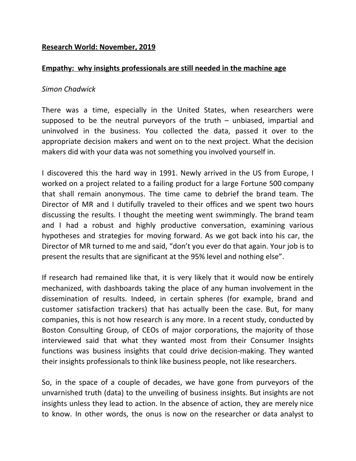# **Research World: November, 2019**

## **Empathy: why insights professionals are still needed in the machine age**

#### *Simon Chadwick*

There was a time, especially in the United States, when researchers were supposed to be the neutral purveyors of the truth – unbiased, impartial and uninvolved in the business. You collected the data, passed it over to the appropriate decision makers and went on to the next project. What the decision makers did with your data was not something you involved yourself in.

I discovered this the hard way in 1991. Newly arrived in the US from Europe, I worked on a project related to a failing product for a large Fortune 500 company that shall remain anonymous. The time came to debrief the brand team. The Director of MR and I dutifully traveled to their offices and we spent two hours discussing the results. I thought the meeting went swimmingly. The brand team and I had a robust and highly productive conversation, examining various hypotheses and strategies for moving forward. As we got back into his car, the Director of MR turned to me and said, "don't you ever do that again. Your job is to present the results that are significant at the 95% level and nothing else".

If research had remained like that, it is very likely that it would now be entirely mechanized, with dashboards taking the place of any human involvement in the dissemination of results. Indeed, in certain spheres (for example, brand and customer satisfaction trackers) that has actually been the case. But, for many companies, this is not how research is any more. In a recent study, conducted by Boston Consulting Group, of CEOs of major corporations, the majority of those interviewed said that what they wanted most from their Consumer Insights functions was business insights that could drive decision-making. They wanted their insights professionals to think like business people, not like researchers.

So, in the space of a couple of decades, we have gone from purveyors of the unvarnished truth (data) to the unveiling of business insights. But insights are not insights unless they lead to action. In the absence of action, they are merely nice to know. In other words, the onus is now on the researcher or data analyst to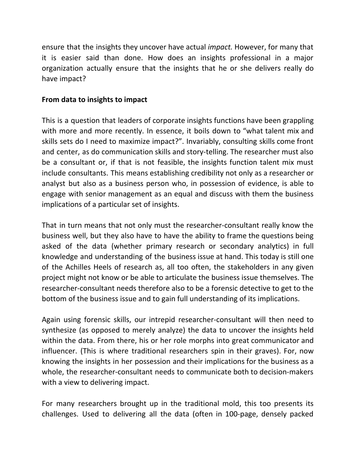ensure that the insights they uncover have actual *impact.* However, for many that it is easier said than done. How does an insights professional in a major organization actually ensure that the insights that he or she delivers really do have impact?

# **From data to insights to impact**

This is a question that leaders of corporate insights functions have been grappling with more and more recently. In essence, it boils down to "what talent mix and skills sets do I need to maximize impact?". Invariably, consulting skills come front and center, as do communication skills and story-telling. The researcher must also be a consultant or, if that is not feasible, the insights function talent mix must include consultants. This means establishing credibility not only as a researcher or analyst but also as a business person who, in possession of evidence, is able to engage with senior management as an equal and discuss with them the business implications of a particular set of insights.

That in turn means that not only must the researcher-consultant really know the business well, but they also have to have the ability to frame the questions being asked of the data (whether primary research or secondary analytics) in full knowledge and understanding of the business issue at hand. This today is still one of the Achilles Heels of research as, all too often, the stakeholders in any given project might not know or be able to articulate the business issue themselves. The researcher-consultant needs therefore also to be a forensic detective to get to the bottom of the business issue and to gain full understanding of its implications.

Again using forensic skills, our intrepid researcher-consultant will then need to synthesize (as opposed to merely analyze) the data to uncover the insights held within the data. From there, his or her role morphs into great communicator and influencer. (This is where traditional researchers spin in their graves). For, now knowing the insights in her possession and their implications for the business as a whole, the researcher-consultant needs to communicate both to decision-makers with a view to delivering impact.

For many researchers brought up in the traditional mold, this too presents its challenges. Used to delivering all the data (often in 100-page, densely packed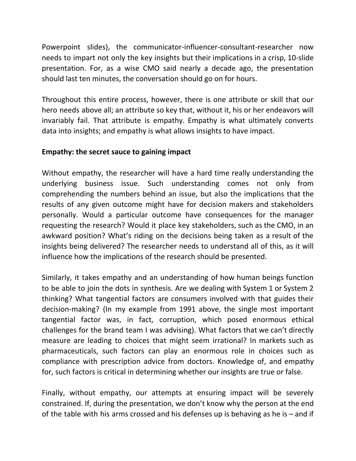Powerpoint slides), the communicator-influencer-consultant-researcher now needs to impart not only the key insights but their implications in a crisp, 10-slide presentation. For, as a wise CMO said nearly a decade ago, the presentation should last ten minutes, the conversation should go on for hours.

Throughout this entire process, however, there is one attribute or skill that our hero needs above all; an attribute so key that, without it, his or her endeavors will invariably fail. That attribute is empathy. Empathy is what ultimately converts data into insights; and empathy is what allows insights to have impact.

## **Empathy: the secret sauce to gaining impact**

Without empathy, the researcher will have a hard time really understanding the underlying business issue. Such understanding comes not only from comprehending the numbers behind an issue, but also the implications that the results of any given outcome might have for decision makers and stakeholders personally. Would a particular outcome have consequences for the manager requesting the research? Would it place key stakeholders, such as the CMO, in an awkward position? What's riding on the decisions being taken as a result of the insights being delivered? The researcher needs to understand all of this, as it will influence how the implications of the research should be presented.

Similarly, it takes empathy and an understanding of how human beings function to be able to join the dots in synthesis. Are we dealing with System 1 or System 2 thinking? What tangential factors are consumers involved with that guides their decision-making? (In my example from 1991 above, the single most important tangential factor was, in fact, corruption, which posed enormous ethical challenges for the brand team I was advising). What factors that we can't directly measure are leading to choices that might seem irrational? In markets such as pharmaceuticals, such factors can play an enormous role in choices such as compliance with prescription advice from doctors. Knowledge of, and empathy for, such factors is critical in determining whether our insights are true or false.

Finally, without empathy, our attempts at ensuring impact will be severely constrained. If, during the presentation, we don't know why the person at the end of the table with his arms crossed and his defenses up is behaving as he is – and if